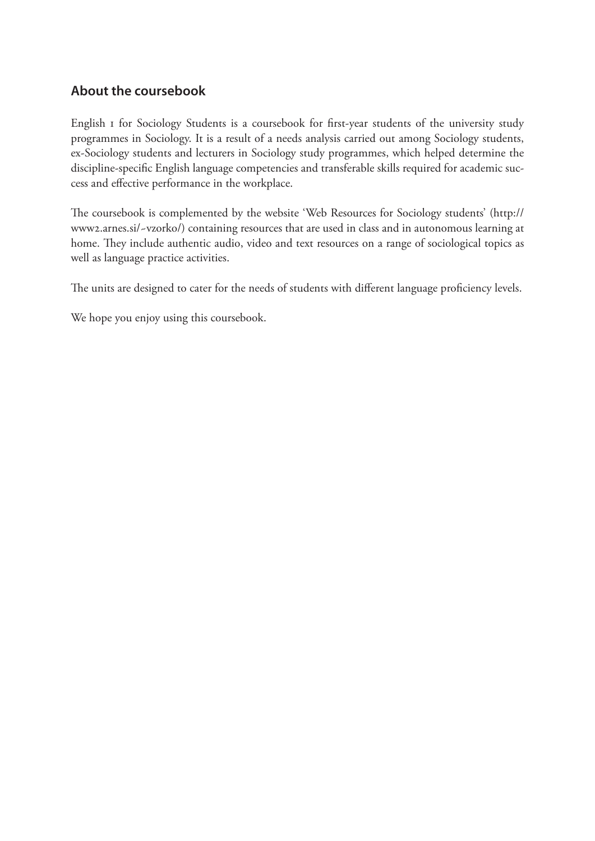### **About the coursebook**

English 1 for Sociology Students is a coursebook for first-year students of the university study programmes in Sociology. It is a result of a needs analysis carried out among Sociology students, ex-Sociology students and lecturers in Sociology study programmes, which helped determine the discipline-specific English language competencies and transferable skills required for academic success and effective performance in the workplace.

The coursebook is complemented by the website 'Web Resources for Sociology students' (http:// www2.arnes.si/~vzorko/) containing resources that are used in class and in autonomous learning at home. They include authentic audio, video and text resources on a range of sociological topics as well as language practice activities.

The units are designed to cater for the needs of students with different language proficiency levels.

We hope you enjoy using this coursebook.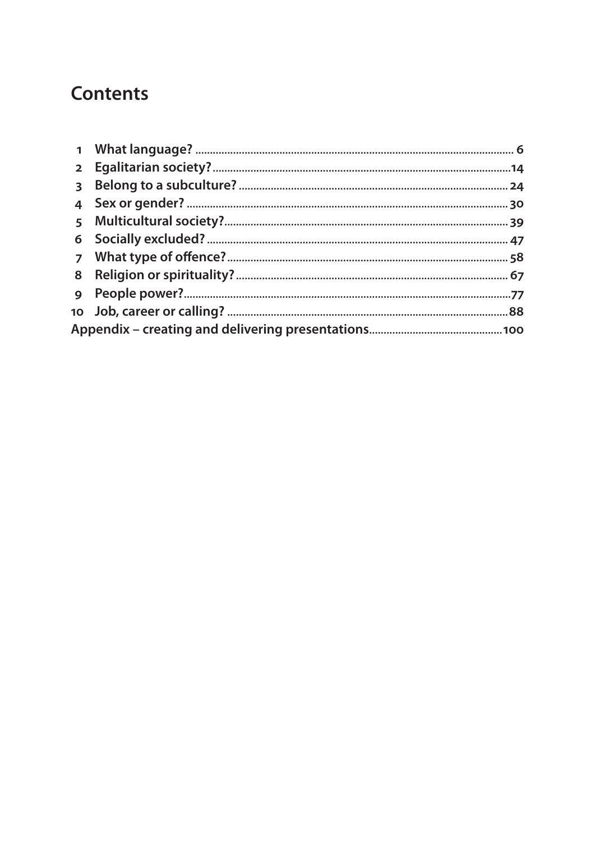# **Contents**

| $\mathbf{1}$            |  |  |  |
|-------------------------|--|--|--|
| 2 <sup>1</sup>          |  |  |  |
| $\overline{\mathbf{3}}$ |  |  |  |
| 4                       |  |  |  |
| 5                       |  |  |  |
| 6                       |  |  |  |
| $\overline{ }$          |  |  |  |
| 8                       |  |  |  |
| $\mathbf Q$             |  |  |  |
|                         |  |  |  |
|                         |  |  |  |
|                         |  |  |  |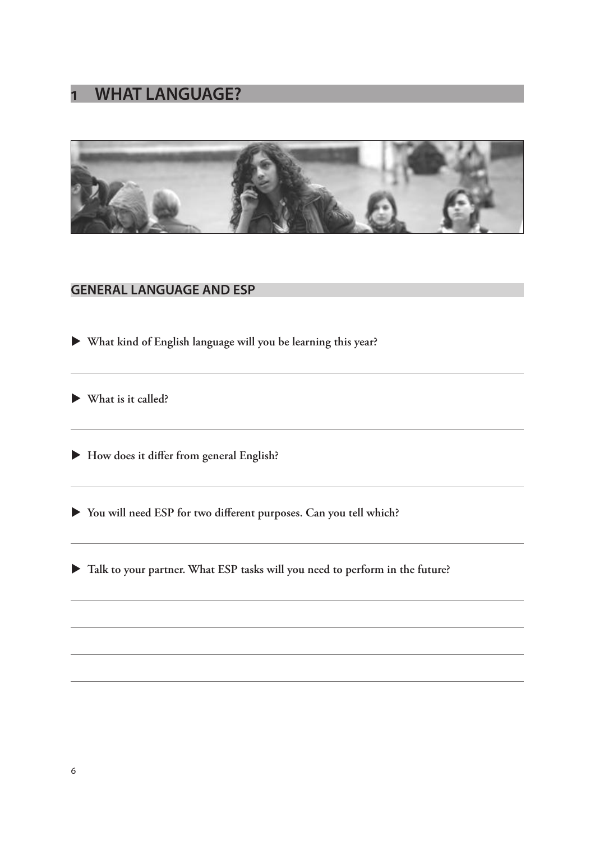## **1 WHAT LANGUAGE?**



#### **GENERAL LANGUAGE AND ESP**

X **What kind of English language will you be learning this year?**

X **What is it called?**

X **How does it differ from general English?**

X **You will need ESP for two different purposes. Can you tell which?** 

 $\blacktriangleright$  Talk to your partner. What ESP tasks will you need to perform in the future?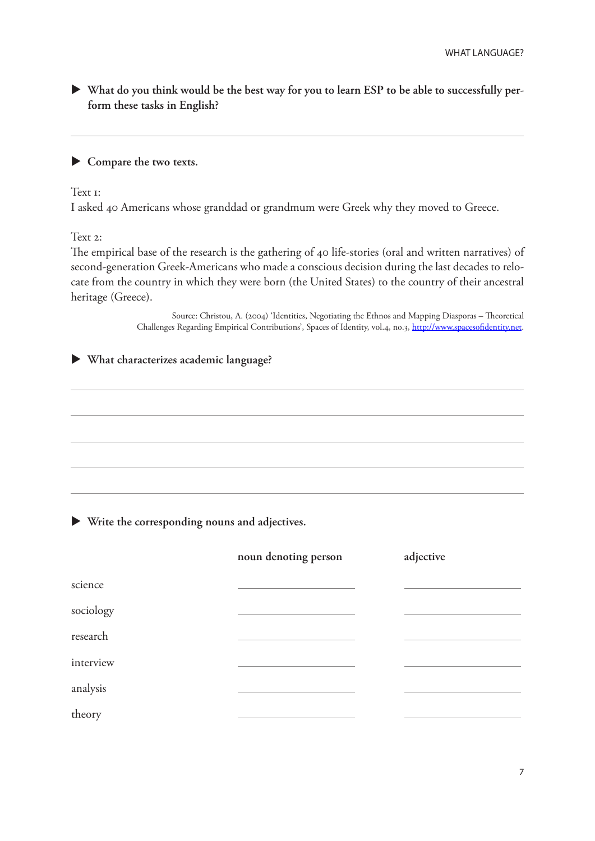X **What do you think would be the best way for you to learn ESP to be able to successfully perform these tasks in English?**

#### $\blacktriangleright$  Compare the two texts.

Text <sub>1</sub>:

I asked 40 Americans whose granddad or grandmum were Greek why they moved to Greece.

Text 2:

The empirical base of the research is the gathering of 40 life-stories (oral and written narratives) of second-generation Greek-Americans who made a conscious decision during the last decades to relocate from the country in which they were born (the United States) to the country of their ancestral heritage (Greece).

> Source: Christou, A. (2004) 'Identities, Negotiating the Ethnos and Mapping Diasporas – Theoretical Challenges Regarding Empirical Contributions', Spaces of Identity, vol.4, no.3, http://www.spacesofidentity.net.

X **What characterizes academic language?**

X **Write the corresponding nouns and adjectives.**

|           | noun denoting person | adjective |
|-----------|----------------------|-----------|
| science   |                      |           |
| sociology |                      |           |
| research  |                      |           |
| interview |                      |           |
| analysis  |                      |           |
| theory    |                      |           |
|           |                      |           |